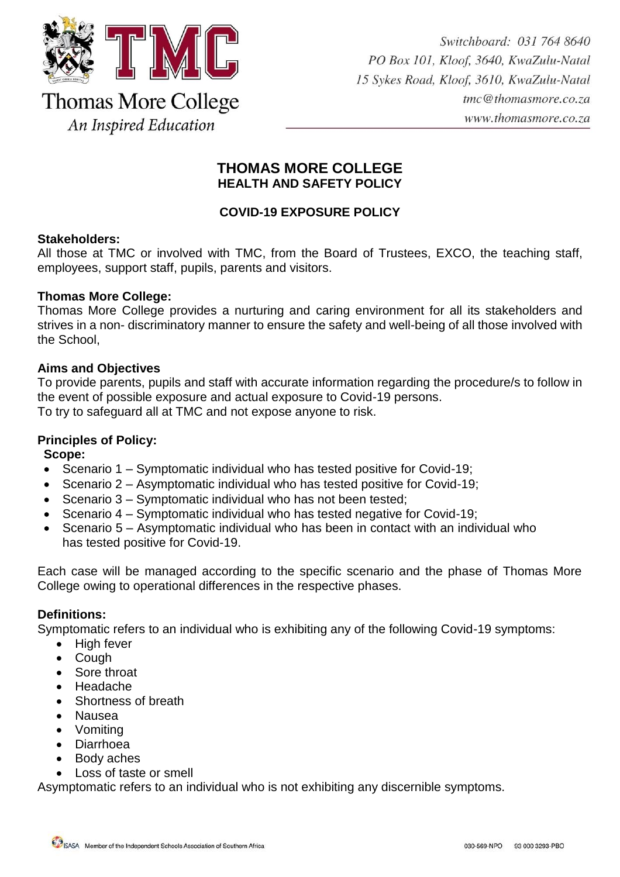

# **THOMAS MORE COLLEGE HEALTH AND SAFETY POLICY**

# **COVID-19 EXPOSURE POLICY**

# **Stakeholders:**

All those at TMC or involved with TMC, from the Board of Trustees, EXCO, the teaching staff, employees, support staff, pupils, parents and visitors.

# **Thomas More College:**

Thomas More College provides a nurturing and caring environment for all its stakeholders and strives in a non- discriminatory manner to ensure the safety and well-being of all those involved with the School,

# **Aims and Objectives**

To provide parents, pupils and staff with accurate information regarding the procedure/s to follow in the event of possible exposure and actual exposure to Covid-19 persons. To try to safeguard all at TMC and not expose anyone to risk.

# **Principles of Policy:**

**Scope:**

- Scenario 1 Symptomatic individual who has tested positive for Covid-19;
- Scenario 2 Asymptomatic individual who has tested positive for Covid-19;
- Scenario 3 Symptomatic individual who has not been tested;
- Scenario 4 Symptomatic individual who has tested negative for Covid-19;
- Scenario 5 Asymptomatic individual who has been in contact with an individual who has tested positive for Covid-19.

Each case will be managed according to the specific scenario and the phase of Thomas More College owing to operational differences in the respective phases.

# **Definitions:**

Symptomatic refers to an individual who is exhibiting any of the following Covid-19 symptoms:

- High fever
- Cough
- Sore throat
- Headache
- Shortness of breath
- Nausea
- Vomiting
- Diarrhoea
- Body aches
- Loss of taste or smell

Asymptomatic refers to an individual who is not exhibiting any discernible symptoms.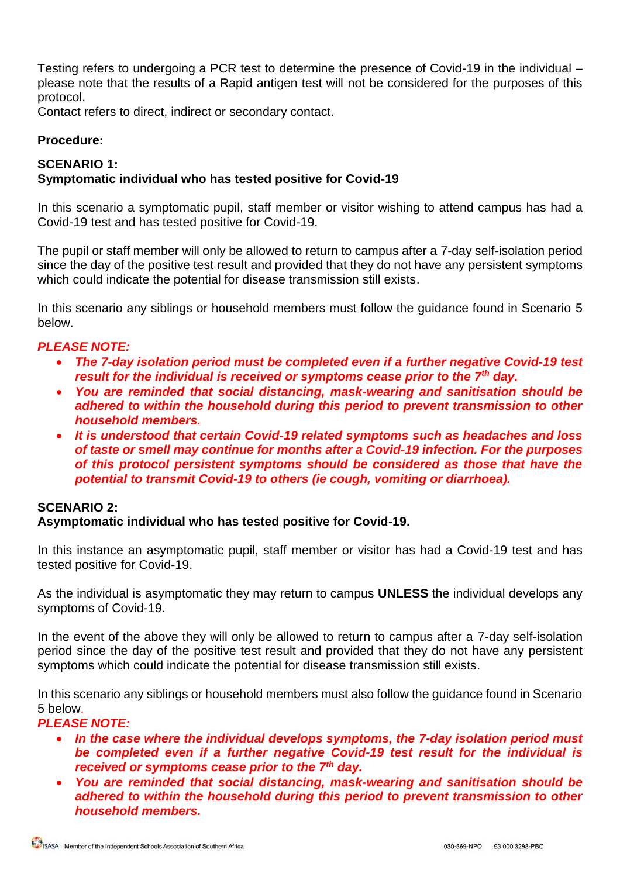Testing refers to undergoing a PCR test to determine the presence of Covid-19 in the individual – please note that the results of a Rapid antigen test will not be considered for the purposes of this protocol.

Contact refers to direct, indirect or secondary contact.

# **Procedure:**

# **SCENARIO 1:**

# **Symptomatic individual who has tested positive for Covid-19**

In this scenario a symptomatic pupil, staff member or visitor wishing to attend campus has had a Covid-19 test and has tested positive for Covid-19.

The pupil or staff member will only be allowed to return to campus after a 7-day self-isolation period since the day of the positive test result and provided that they do not have any persistent symptoms which could indicate the potential for disease transmission still exists.

In this scenario any siblings or household members must follow the guidance found in Scenario 5 below.

### *PLEASE NOTE:*

- *The 7-day isolation period must be completed even if a further negative Covid-19 test result for the individual is received or symptoms cease prior to the 7th day.*
- *You are reminded that social distancing, mask-wearing and sanitisation should be adhered to within the household during this period to prevent transmission to other household members.*
- *It is understood that certain Covid-19 related symptoms such as headaches and loss of taste or smell may continue for months after a Covid-19 infection. For the purposes of this protocol persistent symptoms should be considered as those that have the potential to transmit Covid-19 to others (ie cough, vomiting or diarrhoea).*

# **SCENARIO 2:**

### **Asymptomatic individual who has tested positive for Covid-19.**

In this instance an asymptomatic pupil, staff member or visitor has had a Covid-19 test and has tested positive for Covid-19.

As the individual is asymptomatic they may return to campus **UNLESS** the individual develops any symptoms of Covid-19.

In the event of the above they will only be allowed to return to campus after a 7-day self-isolation period since the day of the positive test result and provided that they do not have any persistent symptoms which could indicate the potential for disease transmission still exists.

In this scenario any siblings or household members must also follow the guidance found in Scenario 5 below.

# *PLEASE NOTE:*

- *In the case where the individual develops symptoms, the 7-day isolation period must be completed even if a further negative Covid-19 test result for the individual is received or symptoms cease prior to the 7th day.*
- *You are reminded that social distancing, mask-wearing and sanitisation should be adhered to within the household during this period to prevent transmission to other household members.*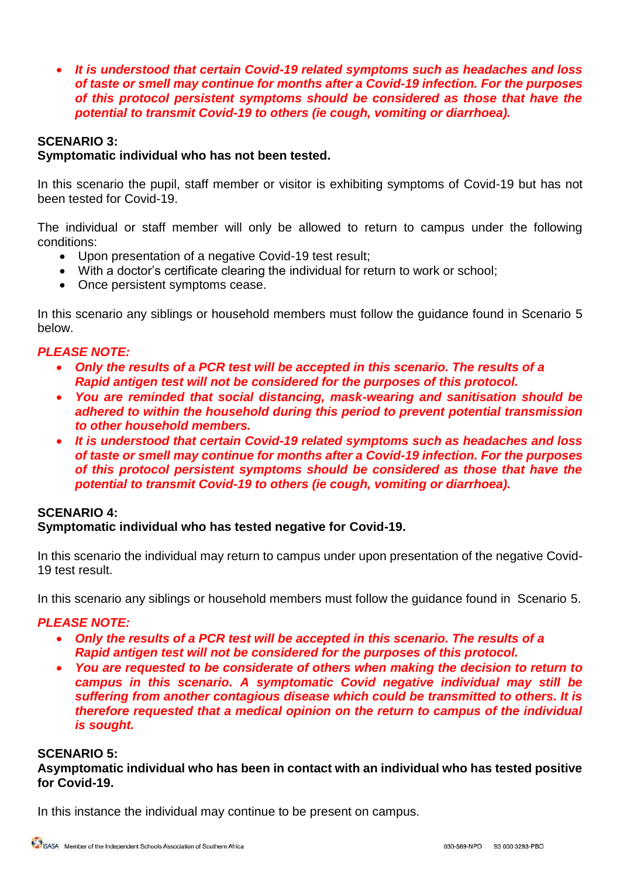*It is understood that certain Covid-19 related symptoms such as headaches and loss of taste or smell may continue for months after a Covid-19 infection. For the purposes of this protocol persistent symptoms should be considered as those that have the potential to transmit Covid-19 to others (ie cough, vomiting or diarrhoea).*

# **SCENARIO 3:**

# **Symptomatic individual who has not been tested.**

In this scenario the pupil, staff member or visitor is exhibiting symptoms of Covid-19 but has not been tested for Covid-19.

The individual or staff member will only be allowed to return to campus under the following conditions:

- Upon presentation of a negative Covid-19 test result;
- With a doctor's certificate clearing the individual for return to work or school;
- Once persistent symptoms cease.

In this scenario any siblings or household members must follow the guidance found in Scenario 5 below.

### *PLEASE NOTE:*

- *Only the results of a PCR test will be accepted in this scenario. The results of a Rapid antigen test will not be considered for the purposes of this protocol.*
- *You are reminded that social distancing, mask-wearing and sanitisation should be adhered to within the household during this period to prevent potential transmission to other household members.*
- *It is understood that certain Covid-19 related symptoms such as headaches and loss of taste or smell may continue for months after a Covid-19 infection. For the purposes of this protocol persistent symptoms should be considered as those that have the potential to transmit Covid-19 to others (ie cough, vomiting or diarrhoea).*

### **SCENARIO 4:**

### **Symptomatic individual who has tested negative for Covid-19.**

In this scenario the individual may return to campus under upon presentation of the negative Covid-19 test result.

In this scenario any siblings or household members must follow the guidance found in Scenario 5.

### *PLEASE NOTE:*

- *Only the results of a PCR test will be accepted in this scenario. The results of a Rapid antigen test will not be considered for the purposes of this protocol.*
- *You are requested to be considerate of others when making the decision to return to campus in this scenario. A symptomatic Covid negative individual may still be suffering from another contagious disease which could be transmitted to others. It is therefore requested that a medical opinion on the return to campus of the individual is sought.*

### **SCENARIO 5:**

**Asymptomatic individual who has been in contact with an individual who has tested positive for Covid-19.**

In this instance the individual may continue to be present on campus.